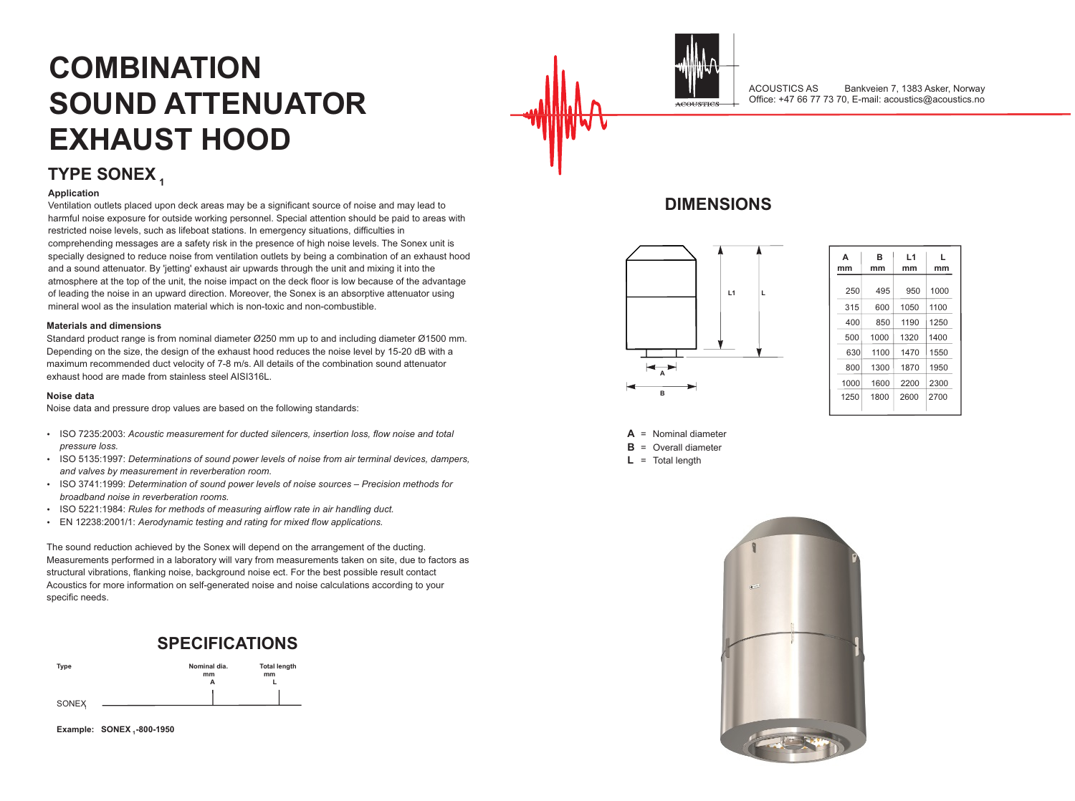### **DIMENSIONS**

### **SPECIFICATIONS**



**Example: SONEX <sup>1</sup> -800-1950**



# **TYPE SONEX <sup>1</sup>**



# **COMBINATION SOUND ATTENUATOR EXHAUST HOOD**

**A** = Nominal diameter **B** = Overall diameter

**L** = Total length





| A<br>nm | в<br>mm | L1<br>mm | L<br>mm |  |  |  |
|---------|---------|----------|---------|--|--|--|
| 250     | 495     | 950      | 1000    |  |  |  |
| 315     | 600     | 1050     | 1100    |  |  |  |
| 400     | 850     | 1190     | 1250    |  |  |  |
| 500     | 1000    | 1320     | 1400    |  |  |  |
| 630     | 1100    | 1470     | 1550    |  |  |  |
| 800     | 1300    | 1870     | 1950    |  |  |  |
| 1000    | 1600    | 2200     | 2300    |  |  |  |
| 1250    | 1800    | 2600     | 2700    |  |  |  |



#### **Application**

Ventilation outlets placed upon deck areas may be a significant source of noise and may lead to harmful noise exposure for outside working personnel. Special attention should be paid to areas with restricted noise levels, such as lifeboat stations. In emergency situations, difficulties in comprehending messages are a safety risk in the presence of high noise levels. The Sonex unit is specially designed to reduce noise from ventilation outlets by being a combination of an exhaust hood and a sound attenuator. By 'jetting' exhaust air upwards through the unit and mixing it into the atmosphere at the top of the unit, the noise impact on the deck floor is low because of the advantage of leading the noise in an upward direction. Moreover, the Sonex is an absorptive attenuator using mineral wool as the insulation material which is non-toxic and non-combustible.

#### **Materials and dimensions**

Standard product range is from nominal diameter Ø250 mm up to and including diameter Ø1500 mm. Depending on the size, the design of the exhaust hood reduces the noise level by 15-20 dB with a maximum recommended duct velocity of 7-8 m/s. All details of the combination sound attenuator exhaust hood are made from stainless steel AISI316L.

#### **Noise data**

Noise data and pressure drop values are based on the following standards:

- $\cdot$  ISO 7235:2003: Acoustic measurement for ducted silencers, insertion loss, flow noise and total *pressure loss.*
- $\cdot$  ISO 5135:1997: *Determinations of sound power levels of noise from air terminal devices, dampers, and valves by measurement in reverberation room.*
- $\cdot$  ISO 3741:1999: *Determination of sound power levels of noise sources Precision methods for broadband noise in reverberation rooms.*
- $\cdot$  ISO 5221:1984: *Rules for methods of measuring airflow rate in air handling duct.*
- EN 12238:2001/1: *Aerodynamic testing and rating for mixed flow applications.*

The sound reduction achieved by the Sonex will depend on the arrangement of the ducting. Measurements performed in a laboratory will vary from measurements taken on site, due to factors as structural vibrations, flanking noise, background noise ect. For the best possible result contact Acoustics for more information on self-generated noise and noise calculations according to your specific needs.